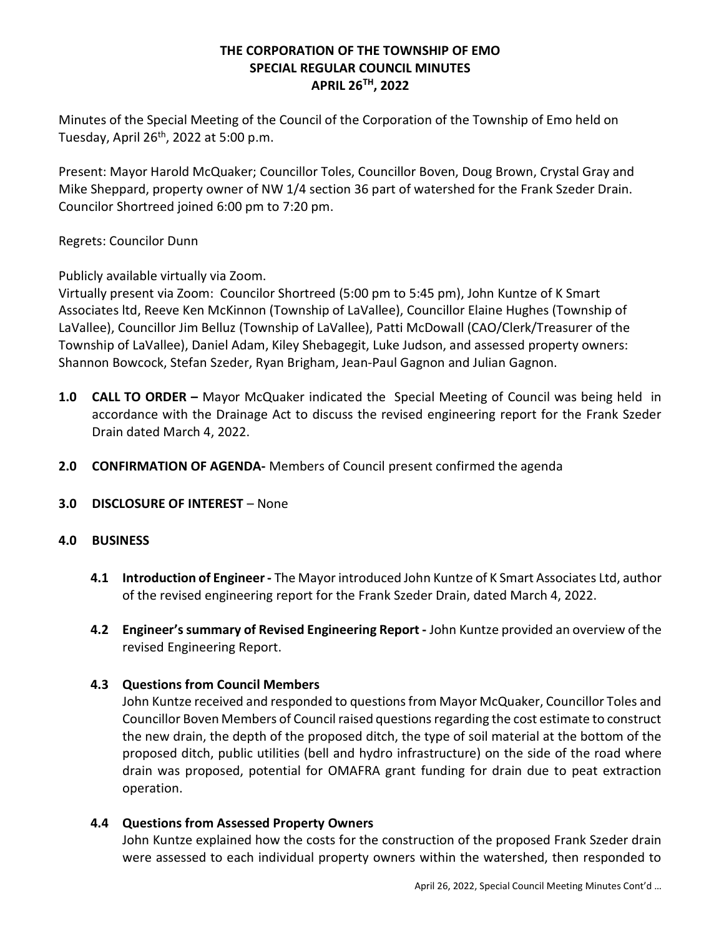# THE CORPORATION OF THE TOWNSHIP OF EMO SPECIAL REGULAR COUNCIL MINUTES APRIL 26TH, 2022

Minutes of the Special Meeting of the Council of the Corporation of the Township of Emo held on Tuesday, April 26th, 2022 at 5:00 p.m.

Present: Mayor Harold McQuaker; Councillor Toles, Councillor Boven, Doug Brown, Crystal Gray and Mike Sheppard, property owner of NW 1/4 section 36 part of watershed for the Frank Szeder Drain. Councilor Shortreed joined 6:00 pm to 7:20 pm.

Regrets: Councilor Dunn

Publicly available virtually via Zoom.

Virtually present via Zoom: Councilor Shortreed (5:00 pm to 5:45 pm), John Kuntze of K Smart Associates ltd, Reeve Ken McKinnon (Township of LaVallee), Councillor Elaine Hughes (Township of LaVallee), Councillor Jim Belluz (Township of LaVallee), Patti McDowall (CAO/Clerk/Treasurer of the Township of LaVallee), Daniel Adam, Kiley Shebagegit, Luke Judson, and assessed property owners: Shannon Bowcock, Stefan Szeder, Ryan Brigham, Jean-Paul Gagnon and Julian Gagnon.

- 1.0 **CALL TO ORDER** Mayor McQuaker indicated the Special Meeting of Council was being held in accordance with the Drainage Act to discuss the revised engineering report for the Frank Szeder Drain dated March 4, 2022.
- 2.0 CONFIRMATION OF AGENDA- Members of Council present confirmed the agenda
- 3.0 DISCLOSURE OF INTEREST None

## 4.0 BUSINESS

- 4.1 Introduction of Engineer The Mayor introduced John Kuntze of K Smart Associates Ltd, author of the revised engineering report for the Frank Szeder Drain, dated March 4, 2022.
- 4.2 Engineer's summary of Revised Engineering Report John Kuntze provided an overview of the revised Engineering Report.

## 4.3 Questions from Council Members

John Kuntze received and responded to questions from Mayor McQuaker, Councillor Toles and Councillor Boven Members of Council raised questions regarding the cost estimate to construct the new drain, the depth of the proposed ditch, the type of soil material at the bottom of the proposed ditch, public utilities (bell and hydro infrastructure) on the side of the road where drain was proposed, potential for OMAFRA grant funding for drain due to peat extraction operation.

## 4.4 Questions from Assessed Property Owners

John Kuntze explained how the costs for the construction of the proposed Frank Szeder drain were assessed to each individual property owners within the watershed, then responded to